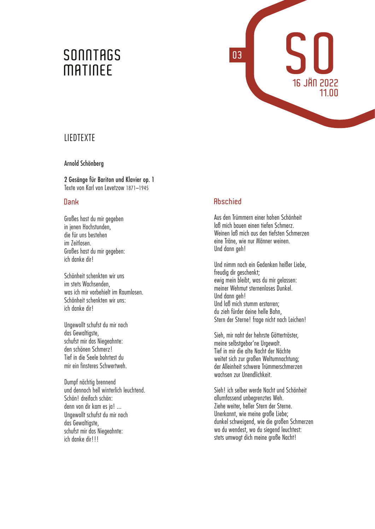# SONNTAGS<br>MATINEE



## **LIEDTEXTE**

## Arnold Schönberg

2 Gesänge für Bariton und Klavier op. 1 Texte von Karl von Levetzow 1871–1945

## **Dank**

Großes hast du mir gegeben in jenen Hochstunden, die für uns bestehen im Zeitlosen. Großes hast du mir gegeben: ich danke dir!

Schönheit schenkten wir uns im stets Wachsenden, was ich mir vorbehielt im Raumlosen. Schönheit schenkten wir uns: ich danke dir!

Ungewollt schufst du mir noch das Gewaltigste, schufst mir das Niegeahnte: den schönen Schmerz! Tief in die Seele bohrtest du mir ein finsteres Schwertweh.

Dumpf nächtig brennend und dennoch hell winterlich leuchtend. Schön! dreifach schön: denn von dir kam es ja!... Ungewollt schufst du mir noch das Gewaltigste, schufst mir das Niegeahnte: ich danke dir!!!

## **Abschied**

**03**

Aus den Trümmern einer hohen Schönheit laß mich bauen einen tiefen Schmerz. Weinen laß mich aus den tiefsten Schmerzen eine Träne, wie nur Männer weinen. Und dann geh!

Und nimm noch ein Gedenken heißer Liebe, freudig dir geschenkt; ewig mein bleibt, was du mir gelassen: meiner Wehmut sternenloses Dunkel. Und dann geh! Und laß mich stumm erstarren; du zieh fürder deine helle Bahn, Stern der Sterne! frage nicht nach Leichen!

Sieh, mir naht der hehrste Göttertröster, meine selbstgebor'ne Urgewalt. Tief in mir die alte Nacht der Nächte weitet sich zur großen Weltumnachtung; der Alleinheit schwere Trümmerschmerzen wachsen zur Unendlichkeit.

Sieh! ich selber werde Nacht und Schönheit allumfassend unbegrenztes Weh. Ziehe weiter, heller Stern der Sterne. Unerkannt, wie meine große Liebe; dunkel schweigend, wie die großen Schmerzen wo du wendest, wo du siegend leuchtest: stets umwogt dich meine große Nacht!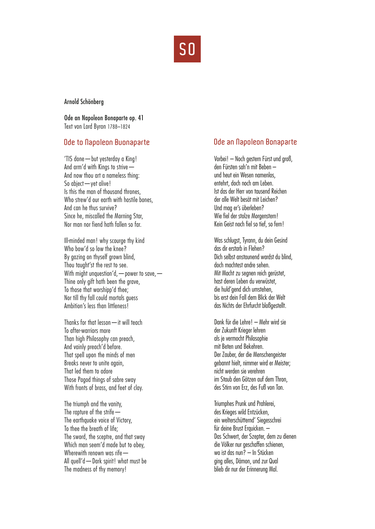

#### Arnold Schönberg

Ode an Napoleon Bonaparte op. 41 Text von Lord Byron 1788–1824

## **Ode to Napoleon Buonaparte**

'TIS done—but yesterday a King! And arm'd with Kings to strive— And now thou art a nameless thing: So abject—yet alive! Is this the man of thousand thrones, Who strew'd our earth with hostile bones. And can he thus survive? Since he, miscalled the Morning Star, Nor man nor fiend hath fallen so far.

Ill-minded man! why scourge thy kind Who bow'd so low the knee? By gazing on thyself grown blind, Thou taught'st the rest to see. With might unquestion'd, — power to save, — Thine only gift hath been the grave, To those that worshipp'd thee; Nor till thy fall could mortals guess Ambition's less than littleness!

Thanks for that lesson—it will teach To after-warriors more Than high Philosophy can preach, And vainly preach'd before. That spell upon the minds of men Breaks never to unite again, That led them to adore Those Pagod things of sabre sway With fronts of brass, and feet of clay.

The triumph and the vanity, The rapture of the strife— The earthquake voice of Victory, To thee the breath of life; The sword, the sceptre, and that sway Which man seem'd made but to obey, Wherewith renown was rife— All quell'd—Dark spirit! what must be The madness of thy memory!

## **Ode an Napoleon Bonaparte**

Vorbei! – Noch gestern Fürst und groß, den Fürsten sah'n mit Beben – und heut ein Wesen namenlos, entehrt, doch noch am Leben. Ist das der Herr von tausend Reichen der alle Welt besät mit Leichen? Und mag er's überleben? Wie fiel der stolze Morgenstern! Kein Geist noch fiel so tief, so fern!

Was schlugst, Tyrann, du dein Gesind das dir erstarb in Flehen? Dich selbst anstaunend wardst du blind, doch machtest andre sehen. Mit Macht zu segnen reich gerüstet, hast deren Leben du verwüstet, die huld'gend dich umstehen, bis erst dein Fall dem Blick der Welt das Nichts der Ehrfurcht bloßgestellt.

Dank für die Lehre! – Mehr wird sie der Zukunft Krieger lehren als je vermocht Philosophie mit Beten und Bekehren. Der Zauber, der die Menschengeister gebannt hielt, nimmer wird er Meister; nicht werden sie verehren im Staub den Götzen auf dem Thron, des Stirn von Erz, des Fuß von Ton.

Triumphes Prunk und Prahlerei, des Krieges wild Entzücken, ein welterschütternd' Siegesschrei für deine Brust Erquicken. – Das Schwert, der Szepter, dem zu dienen die Völker nur geschaffen schienen, wo ist das nun? – In Stücken ging alles, Dämon, und zur Qual blieb dir nur der Erinnerung Mal.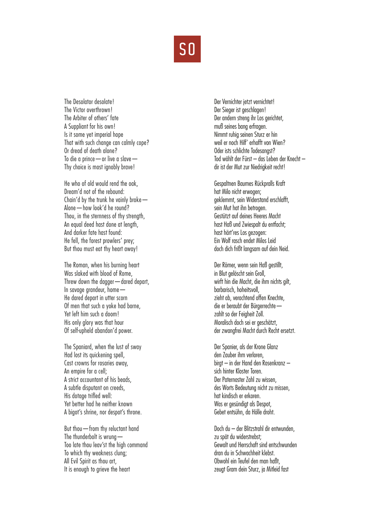

The Desolator desolate! The Victor overthrown! The Arbiter of others' fate A Suppliant for his own! Is it some yet imperial hope That with such change can calmly cope? Or dread of death alone? To die a prince—or live a slave— Thy choice is most ignobly brave!

He who of old would rend the oak, Dream'd not of the rebound: Chain'd by the trunk he vainly broke— Alone—how look'd he round? Thou, in the sternness of thy strength, An equal deed hast done at length, And darker fate hast found: He fell, the forest prowlers' prey; But thou must eat thy heart away!

The Roman, when his burning heart Was slaked with blood of Rome, Threw down the dagger—dared depart, In savage grandeur, home— He dared depart in utter scorn Of men that such a yoke had borne, Yet left him such a doom! His only glory was that hour Of self-upheld abandon'd power.

The Spaniard, when the lust of sway Had lost its quickening spell, Cast crowns for rosaries away, An empire for a cell; A strict accountant of his beads, A subtle disputant on creeds, His dotage trifled well: Yet better had he neither known A bigot's shrine, nor despot's throne.

But thou—from thy reluctant hand The thunderbolt is wrung— Too late thou leav'st the high command To which thy weakness clung; All Evil Spirit as thou art, It is enough to grieve the heart

Der Vernichter jetzt vernichtet! Der Sieger ist geschlagen! Der andern streng ihr Los gerichtet, muß seines bang erfragen. Nimmt ruhig seinen Sturz er hin weil er noch Hilf' erhofft von Wien? Oder ists schlichte Todesangst? Tod wählt der Fürst – das Leben der Knecht – dir ist der Mut zur Niedrigkeit recht!

Gespaltnen Baumes Rückpralls Kraft hat Milo nicht erwogen; geklemmt, sein Widerstand erschlafft, sein Mut hat ihn betrogen. Gestützt auf deines Heeres Macht hast Haß und Zwiespalt du entfacht; hast härt'res Los gezogen: Ein Wolf rasch endet Milos Leid doch dich frißt langsam auf dein Neid.

Der Römer, wenn sein Haß gestillt, in Blut gelöscht sein Groll, wirft hin die Macht, die ihm nichts gilt, barbarisch, hoheitsvoll, zieht ab, verachtend offen Knechte, die er beraubt der Bürgerrechte zahlt so der Feigheit Zoll. Moralisch doch sei er geschätzt, der zwangfrei Macht durch Recht ersetzt.

Der Spanier, als der Krone Glanz den Zauber ihm verloren, birgt – in der Hand den Rosenkranz – sich hinter Kloster Toren. Der Paternoster Zahl zu wissen, des Worts Bedeutung nicht zu missen, hat kindisch er erkoren. Was er gesündigt als Despot, Gebet entsühn, da Hölle droht.

Doch du – der Blitzstrahl dir entwunden, zu spät du widerstrebst: Gewalt und Herrschaft sind entschwunden dran du in Schwachheit klebst. Obwohl ein Teufel den man haßt, zeugt Gram dein Sturz, ja Mitleid fast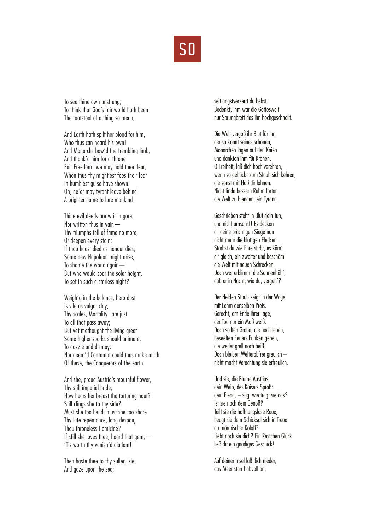

To see thine own unstrung; To think that God's fair world hath been The footstool of a thing so mean;

And Earth hath spilt her blood for him, Who thus can hoard his own! And Monarchs bow'd the trembling limb, And thank'd him for a throne! Fair Freedom! we may hold thee dear, When thus thy mightiest foes their fear In humblest guise have shown. Oh, ne'er may tyrant leave behind A brighter name to lure mankind!

Thine evil deeds are writ in gore, Nor written thus in vain— Thy triumphs tell of fame no more, Or deepen every stain: If thou hadst died as honour dies, Some new Napoleon might arise, To shame the world again— But who would soar the solar height. To set in such a starless night?

Weigh'd in the balance, hero dust Is vile as vulgar clay; Thy scales, Mortality! are just To all that pass away; But yet methought the living great Some higher sparks should animate, To dazzle and dismay: Nor deem'd Contempt could thus make mirth Of these, the Conquerors of the earth.

And she, proud Austria's mournful flower, Thy still imperial bride; How bears her breast the torturing hour? Still clings she to thy side? Must she too bend, must she too share Thy late repentance, long despair, Thou throneless Homicide? If still she loves thee, hoard that gem,— 'Tis worth thy vanish'd diadem!

Then haste thee to thy sullen Isle, And gaze upon the sea;

seit angstverzerrt du bebst. Bedenkt, ihm war die Gotteswelt nur Sprungbrett das ihn hochgeschnellt.

Die Welt vergoß ihr Blut für ihn der so konnt seines schonen, Monarchen lagen auf den Knien und dankten ihm für Kronen. O Freiheit, laß dich hoch verehren, wenn so gebückt zum Staub sich kehren, die sonst mit Haß dir lohnen. Nicht finde bessern Ruhm fortan die Welt zu blenden, ein Tyrann.

Geschrieben steht in Blut dein Tun, und nicht umsonst! Es decken all deine prächtigen Siege nun nicht mehr die blut'gen Flecken. Starbst du wie Ehre stirbt, es käm' dir gleich, ein zweiter und beschäm' die Welt mit neuen Schrecken. Doch wer erklimmt die Sonnenhöh', daß er in Nacht, wie du, vergeh'?

Der Helden Staub zeigt in der Wage mit Lehm denselben Preis. Gerecht, am Ende ihrer Tage, der Tod nur ein Maß weiß. Doch sollten Große, die noch leben, beseelten Feuers Funken geben, die weder grell noch heiß. Doch bleiben Welterob'rer greulich – nicht macht Verachtung sie erfreulich.

Und sie, die Blume Austrias dein Weib, des Kaisers Sproß: dein Elend, – sag: wie trägt sie das? Ist sie noch dein Genoß? Teilt sie die hoffnungslose Reue, beugt sie dem Schicksal sich in Treue du mördrischer Koloß? Liebt noch sie dich? Ein Restchen Glück ließ dir ein anädiges Geschick!

Auf deiner Insel laß dich nieder, das Meer starr haßvoll an,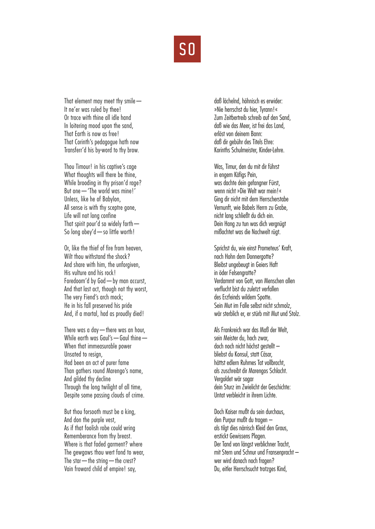

That element may meet thy smile— It ne'er was ruled by thee! Or trace with thine all idle hand In loitering mood upon the sand, That Earth is now as free! That Corinth's pedagogue hath now Transferr'd his by-word to thy brow.

Thou Timour! in his captive's cage What thoughts will there be thine, While brooding in thy prison'd rage? But one—'The world was mine!' Unless, like he of Babylon, All sense is with thy sceptre gone, Life will not long confine That spirit pour'd so widely forth— So long obey'd—so little worth!

Or, like the thief of fire from heaven, Wilt thou withstand the shock? And share with him, the unforgiven, His vulture and his rock! Foredoom'd by God—by man accurst, And that last act, though not thy worst, The very Fiend's arch mock; He in his fall preserved his pride And, if a mortal, had as proudly died!

There was a day—there was an hour, While earth was Gaul's—Gaul thine— When that immeasurable power Unsated to resign, Had been an act of purer fame Than gathers round Marengo's name, And gilded thy decline Through the long twilight of all time, Despite some passing clouds of crime.

But thou forsooth must be a king, And don the purple vest, As if that foolish robe could wring Rememberance from thy breast. Where is that faded garment? where The gewgaws thou wert fond to wear. The star  $-$  the string  $-$  the crest? Vain froward child of empire! say,

daß lächelnd, höhnisch es erwider: »Nie herrschst du hier, Tyrann!« Zum Zeitbertreib schreib auf den Sand, daß wie das Meer, ist frei das Land, erlöst von deinem Bann: daß dir gebühr des Titels Ehre: Korinths Schulmeister, Kinder-Lehre.

Was, Timur, den du mit dir führst in engem Käfigs Pein, was dachte dein gefangner Fürst, wenn nicht »Die Welt war mein!« Ging dir nicht mit dem Herrscherstabe Vernunft, wie Babels Herrn zu Grabe, nicht lang schließt du dich ein. Dein Hang zu tun was dich vergnügt mißachtet was die Nachwelt rügt.

Sprichst du, wie einst Prometeus' Kraft, noch Hohn dem Donnergotte? Bleibst ungebeugt in Geiers Haft in öder Felsengrotte? Verdammt von Gott, von Menschen allen verflucht bist du zuletzt verfallen des Erzfeinds wildem Spotte. Sein Mut im Falle selbst nicht schmolz, wär sterblich er, er stürb mit Mut und Stolz.

Als Frankreich war das Maß der Welt, sein Meister du, hoch zwar, doch noch nicht höchst gestellt – bliebst du Konsul, statt Cäsar, hättst edlern Ruhmes Tat vollbracht, als zuschreibt dir Marengos Schlacht. Vergoldet wär sogar dein Sturz im Zwielicht der Geschichte: Untat verbleicht in ihrem Lichte.

Doch Kaiser mußt du sein durchaus, den Purpur mußt du tragen – als tilgt dies närrisch Kleid den Graus, erstickt Gewissens Plagen. Der Tand von längst verblichner Tracht, mit Stern und Schnur und Fransenpracht – wer wird danach noch fragen? Du, eitler Herrschsucht trotzges Kind,